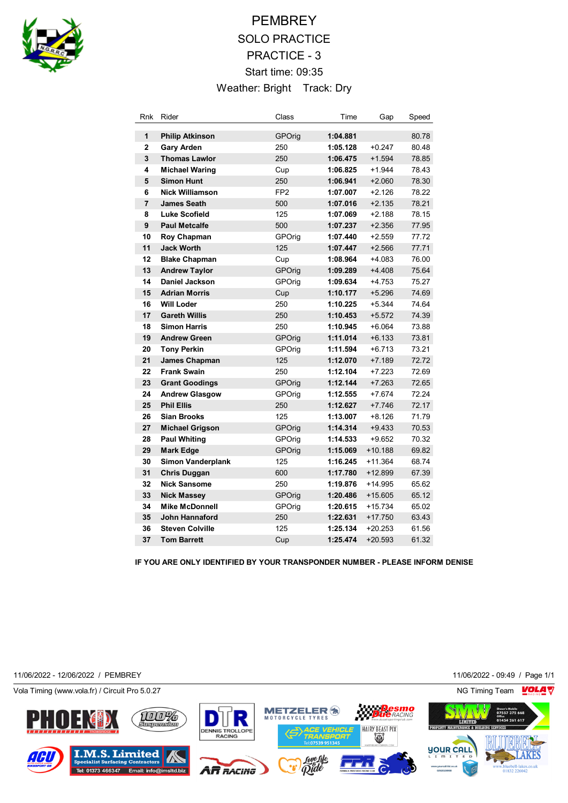

# **PEMBREY** SOLO PRACTICE PRACTICE - 3 Start time: 09:35 Weather: Bright Track: Dry

| Rnk            | Rider                    | Class           | Time     | Gap       | Speed |
|----------------|--------------------------|-----------------|----------|-----------|-------|
| 1              | <b>Philip Atkinson</b>   | GPOrig          | 1:04.881 |           | 80.78 |
| $\overline{2}$ | <b>Gary Arden</b>        | 250             | 1:05.128 | $+0.247$  | 80.48 |
| 3              | <b>Thomas Lawlor</b>     | 250             | 1:06.475 | $+1.594$  | 78.85 |
| 4              | <b>Michael Waring</b>    | Cup             | 1:06.825 | $+1.944$  | 78.43 |
| 5              | <b>Simon Hunt</b>        | 250             | 1:06.941 | $+2.060$  | 78.30 |
| 6              | <b>Nick Williamson</b>   | FP <sub>2</sub> | 1:07.007 | $+2.126$  | 78.22 |
| $\overline{7}$ | <b>James Seath</b>       | 500             | 1:07.016 | $+2.135$  | 78.21 |
| 8              | <b>Luke Scofield</b>     | 125             | 1:07.069 | $+2.188$  | 78.15 |
| 9              | <b>Paul Metcalfe</b>     | 500             | 1:07.237 | $+2.356$  | 77.95 |
| 10             | Roy Chapman              | GPOrig          | 1:07.440 | $+2.559$  | 77.72 |
| 11             | <b>Jack Worth</b>        | 125             | 1:07.447 | $+2.566$  | 77.71 |
| 12             | <b>Blake Chapman</b>     | Cup             | 1:08.964 | $+4.083$  | 76.00 |
| 13             | <b>Andrew Taylor</b>     | <b>GPOrig</b>   | 1:09.289 | $+4.408$  | 75.64 |
| 14             | Daniel Jackson           | GPOrig          | 1:09.634 | $+4.753$  | 75.27 |
| 15             | <b>Adrian Morris</b>     | Cup             | 1:10.177 | $+5.296$  | 74.69 |
| 16             | <b>Will Loder</b>        | 250             | 1:10.225 | $+5.344$  | 74.64 |
| 17             | <b>Gareth Willis</b>     | 250             | 1:10.453 | $+5.572$  | 74.39 |
| 18             | <b>Simon Harris</b>      | 250             | 1:10.945 | $+6.064$  | 73.88 |
| 19             | <b>Andrew Green</b>      | GPOrig          | 1:11.014 | $+6.133$  | 73.81 |
| 20             | <b>Tony Perkin</b>       | GPOrig          | 1:11.594 | $+6.713$  | 73.21 |
| 21             | James Chapman            | 125             | 1:12.070 | $+7.189$  | 72.72 |
| 22             | <b>Frank Swain</b>       | 250             | 1:12.104 | $+7.223$  | 72.69 |
| 23             | <b>Grant Goodings</b>    | GPOrig          | 1:12.144 | $+7.263$  | 72.65 |
| 24             | <b>Andrew Glasgow</b>    | GPOrig          | 1:12.555 | $+7.674$  | 72.24 |
| 25             | <b>Phil Ellis</b>        | 250             | 1:12.627 | $+7.746$  | 72.17 |
| 26             | <b>Sian Brooks</b>       | 125             | 1:13.007 | $+8.126$  | 71.79 |
| 27             | <b>Michael Grigson</b>   | GPOrig          | 1:14.314 | $+9.433$  | 70.53 |
| 28             | <b>Paul Whiting</b>      | GPOrig          | 1:14.533 | $+9.652$  | 70.32 |
| 29             | <b>Mark Edge</b>         | GPOrig          | 1:15.069 | $+10.188$ | 69.82 |
| 30             | <b>Simon Vanderplank</b> | 125             | 1:16.245 | +11.364   | 68.74 |
| 31             | <b>Chris Duggan</b>      | 600             | 1:17.780 | $+12.899$ | 67.39 |
| 32             | <b>Nick Sansome</b>      | 250             | 1:19.876 | +14.995   | 65.62 |
| 33             | <b>Nick Massey</b>       | GPOrig          | 1:20.486 | +15.605   | 65.12 |
| 34             | <b>Mike McDonnell</b>    | GPOrig          | 1:20.615 | +15.734   | 65.02 |
| 35             | <b>John Hannaford</b>    | 250             | 1:22.631 | $+17.750$ | 63.43 |
| 36             | <b>Steven Colville</b>   | 125             | 1:25.134 | $+20.253$ | 61.56 |
| 37             | <b>Tom Barrett</b>       | Cup             | 1:25.474 | $+20.593$ | 61.32 |

**IF YOU ARE ONLY IDENTIFIED BY YOUR TRANSPONDER NUMBER - PLEASE INFORM DENISE** 

11/06/2022 - 12/06/2022 / PEMBREY 11/06/2022 - 09:49 / Page 1/1

Vola Timing (www.vola.fr) / Circuit Pro 5.0.27 NG Timing Team NG Timing Team NG Timing Team NG Timing Team NG

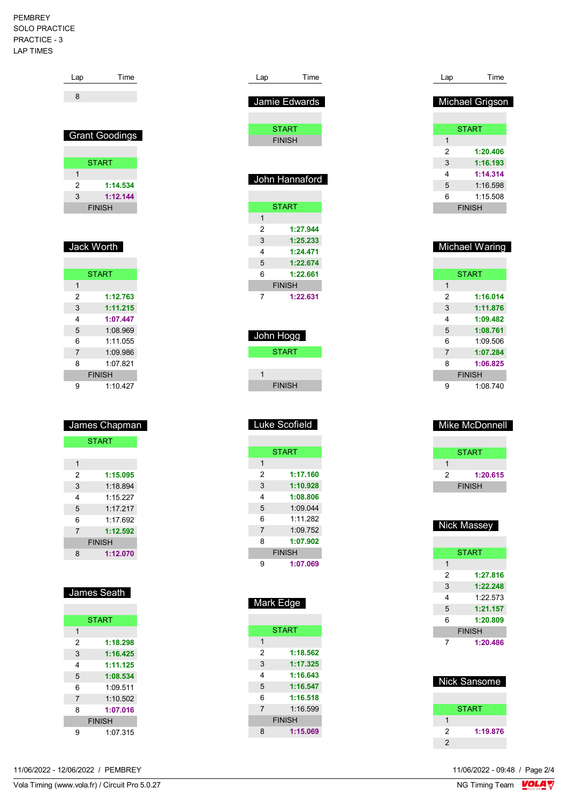#### PEMBREY SOLO PRACTICE PRACTICE - 3 LAP TIMES

| Lap            | Time                  |
|----------------|-----------------------|
| 8              |                       |
|                |                       |
|                |                       |
|                | <b>Grant Goodings</b> |
|                |                       |
|                | <b>START</b>          |
| $\overline{1}$ |                       |
| 2              | 1:14.534              |
| 3              | 1:12.144              |
|                | <b>FINISH</b>         |
|                |                       |
|                |                       |
|                | Jack Worth            |
|                |                       |
|                | <b>START</b>          |
| 1              |                       |
| 2              | 1:12.763              |
| 3              | 1:11.215              |
| 4              | 1:07.447              |
| 5              | 1:08.969              |
| 6              | 1:11.055              |
| $\overline{7}$ | 1:09.986              |
| 8              | 1:07.821              |
|                | <b>FINISH</b>         |
| 9              | 1:10.427              |
|                |                       |
|                |                       |
|                | James Chapman         |
|                | <b>START</b>          |
|                |                       |
| 1              |                       |
| 2              | 1:15.095              |
| 3              | 1:18.894              |
| 4              | 1:15.227              |

| 4             | 1.15 227 |  |
|---------------|----------|--|
| 5             | 1:17.217 |  |
| 6             | 1:17.692 |  |
| 7             | 1:12.592 |  |
| <b>FINISH</b> |          |  |
| 8             | 1:12.070 |  |

| ames<br>Π |
|-----------|
|-----------|

| <b>START</b>   |          |  |
|----------------|----------|--|
| 1              |          |  |
| 2              | 1:18.298 |  |
| 3              | 1:16.425 |  |
| 4              | 1:11.125 |  |
| 5              | 1:08.534 |  |
| 6              | 1:09.511 |  |
| $\overline{7}$ | 1:10.502 |  |
| 8              | 1:07.016 |  |
| <b>FINISH</b>  |          |  |
|                | 1.07.315 |  |
|                |          |  |

| Lap    | Time                          |
|--------|-------------------------------|
|        | Jamie Edwards                 |
|        |                               |
|        | <b>START</b><br><b>FINISH</b> |
|        |                               |
|        |                               |
|        | John Hannaford                |
|        |                               |
| 1      | <b>START</b>                  |
| 2      | 1:27.944                      |
| 3      | 1:25.233                      |
| 4<br>5 | 1:24.471<br>1:22.674          |
| 6      | 1:22.661                      |
|        | <b>FINISH</b>                 |
| 7      | 1:22.631                      |
|        |                               |
|        |                               |
|        | John Hogg                     |
|        | <b>START</b>                  |
| 1      |                               |
|        | <b>FINISH</b>                 |
|        |                               |
|        |                               |
|        | Luke Scofield                 |
|        |                               |
|        | <b>START</b>                  |
| 1      |                               |
| 2<br>3 | 1:17.160<br>1:10.928          |
| 4      | 08.80                         |
| 5      | 1:09.044                      |
| 6      | 1:11.282                      |
| 7      | 1:09.752<br>1:07.902          |
| 8      | <b>FINISH</b>                 |
| 9      | 1:07.069                      |
|        |                               |
|        |                               |
|        | Mark Edge                     |
|        |                               |
|        | <b>START</b>                  |
| 1<br>2 |                               |
| 3      | 1:18.562<br>1:17.325          |
| 4      | 1:16.643                      |

 **1:16.547 1:16.518** 1:16.599 **FINISH 1:15.069**

| Lap | Time            |
|-----|-----------------|
|     |                 |
|     | Michael Grigson |
|     |                 |
|     | <b>START</b>    |
| 1   |                 |
| 2   | 1:20.406        |
| 3   | 1:16.193        |
| 4   | 1:14.314        |
| 5   | 1:16.598        |
| 6   | 1:15.508        |
|     | <b>FINISH</b>   |
|     |                 |
|     |                 |

|               | <b>START</b> |  |
|---------------|--------------|--|
| 1             |              |  |
| 2             | 1:16.014     |  |
| 3             | 1:11.876     |  |
| 4             | 1:09.482     |  |
| 5             | 1:08.761     |  |
| 6             | 1:09.506     |  |
| 7             | 1:07.284     |  |
| 8             | 1:06.825     |  |
| <b>FINISH</b> |              |  |
| g             | 1:08.740     |  |

Michael Waring

| Mike McDonnell |              |  |  |
|----------------|--------------|--|--|
|                | <b>START</b> |  |  |
|                |              |  |  |
| 2              | 1:20.615     |  |  |
| <b>FINISH</b>  |              |  |  |
|                |              |  |  |

| Nick Massey   |              |  |
|---------------|--------------|--|
|               |              |  |
|               | <b>START</b> |  |
| 1             |              |  |
| 2             | 1:27.816     |  |
| 3             | 1:22.248     |  |
| 4             | 1.22573      |  |
| 5             | 1:21.157     |  |
| 6             | 1:20.809     |  |
| <b>FINISH</b> |              |  |
|               | 1:20.486     |  |

| <b>Nick Sansome</b> |              |  |  |
|---------------------|--------------|--|--|
|                     |              |  |  |
|                     | <b>START</b> |  |  |
|                     |              |  |  |
| 2                   | 1:19.876     |  |  |
| $\overline{2}$      |              |  |  |

11/06/2022 - 09:48 / Page 2/4<br>NG Timing Team  $\sqrt{\text{OLA}}$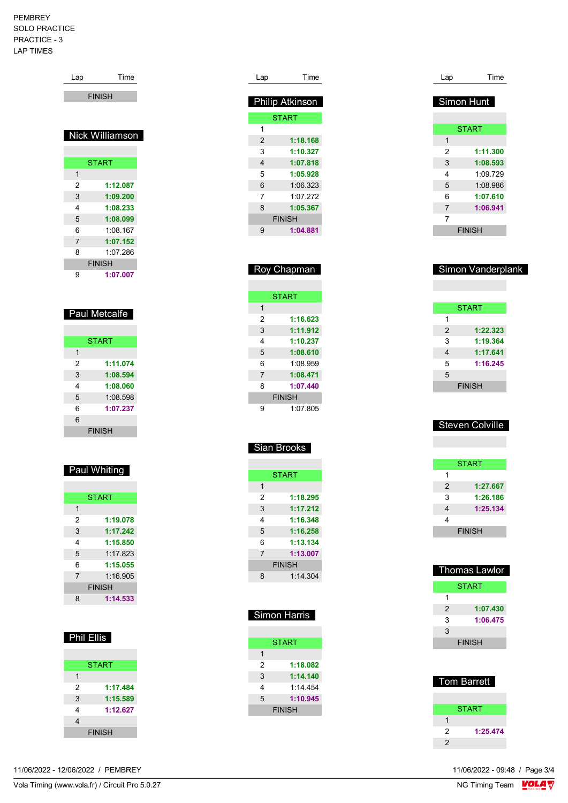#### PEMBREY SOLO PRACTICE PRACTICE - 3 LAP TIMES

| Lap            | Time            |  |  |
|----------------|-----------------|--|--|
| <b>FINISH</b>  |                 |  |  |
|                |                 |  |  |
|                |                 |  |  |
|                | Nick Williamson |  |  |
|                |                 |  |  |
|                | <b>START</b>    |  |  |
| 1              |                 |  |  |
| 2              | 1:12.087        |  |  |
| 3              | 1:09.200        |  |  |
| 4              | 1:08.233        |  |  |
| 5              | 1:08.099        |  |  |
| 6              | 1:08.167        |  |  |
| $\overline{7}$ | 1:07.152        |  |  |
| 8              | 1:07.286        |  |  |
| <b>FINISH</b>  |                 |  |  |
| 1:07.007<br>9  |                 |  |  |
|                |                 |  |  |
|                |                 |  |  |
| Paul Metcalfe  |                 |  |  |
|                |                 |  |  |

|   | <b>START</b>  |
|---|---------------|
| 1 |               |
| 2 | 1:11.074      |
| 3 | 1:08.594      |
| 4 | 1:08.060      |
| 5 | 1:08.598      |
| 6 | 1:07.237      |
| 6 |               |
|   | <b>FINISH</b> |

### Paul Whiting

|                | <b>START</b>  |
|----------------|---------------|
| 1              |               |
| 2              | 1:19.078      |
| 3              | 1:17.242      |
| 4              | 1:15.850      |
| 5              | 1:17.823      |
| 6              | 1:15.055      |
| $\overline{7}$ | 1.16905       |
|                | <b>FINISH</b> |
| 8              | 1:14.533      |

| 31<br>ı<br>п |
|--------------|
|--------------|

|               | <b>START</b>  |
|---------------|---------------|
| 1             |               |
| $\mathcal{P}$ | 1:17.484      |
| 3             | 1:15.589      |
| 4             | 1:12.627      |
| 4             |               |
|               | <b>FINISH</b> |

| Lap | Time                   |
|-----|------------------------|
|     |                        |
|     | <b>Philip Atkinson</b> |
|     | <b>START</b>           |
| 1   |                        |
| 2   | 1:18.168               |
| 3   | 1:10.327               |
| 4   | 1:07.818               |
| 5   | 1:05.928               |
| 6   | 1:06.323               |
| 7   | 1.07.272               |
| 8   | 1:05.367               |
|     | <b>FINISH</b>          |
| 9   | 1:04.881               |
|     |                        |

|                | Roy Chapman   |
|----------------|---------------|
|                |               |
|                | <b>START</b>  |
| 1              |               |
| 2              | 1:16.623      |
| 3              | 1:11.912      |
| 4              | 1:10.237      |
| 5              | 1:08.610      |
| 6              | 1:08.959      |
| $\overline{7}$ | 1:08.471      |
| 8              | 1:07.440      |
|                | <b>FINISH</b> |
| 9              | 1:07 805      |

|                | <b>START</b>  |
|----------------|---------------|
| 1              |               |
| 2              | 1:18.295      |
| 3              | 1:17.212      |
| 4              | 1:16.348      |
| 5              | 1:16.258      |
| 6              | 1:13.134      |
| $\overline{7}$ | 1:13.007      |
|                | <b>FINISH</b> |
| 8              | 1:14.304      |

|               | Simon Harris  |
|---------------|---------------|
|               |               |
|               | <b>START</b>  |
| 1             |               |
| $\mathcal{P}$ | 1:18.082      |
| 3             | 1:14.140      |
| 4             | 1:14 454      |
| 5             | 1:10.945      |
|               | <b>FINISH</b> |

| Lap        | Time         |
|------------|--------------|
|            |              |
| Simon Hunt |              |
|            |              |
|            |              |
|            | <b>START</b> |
| 1          |              |
| 2          | 1:11.300     |
| 3          | 1:08.593     |
| 4          | 1:09.729     |
| 5          | 1:08.986     |
| 6          | 1:07.610     |
| 7          | 1:06.941     |
| 7          |              |
|            | FINISH       |

|                | Simon Vanderplank |
|----------------|-------------------|
|                |                   |
|                |                   |
|                | <b>START</b>      |
| 1              |                   |
| $\overline{2}$ | 1:22.323          |
| 3              | 1:19.364          |
| 4              | 1:17.641          |
| 5              | 1:16.245          |
| 5              |                   |
|                | <b>FINISH</b>     |

### Steven Colville

|                | <b>START</b>  |
|----------------|---------------|
| 1              |               |
| $\mathfrak{p}$ | 1:27.667      |
| 3              | 1:26.186      |
| 4              | 1:25.134      |
| 4              |               |
|                | <b>FINISH</b> |

| Thomas Lawlor |          |  |
|---------------|----------|--|
| <b>START</b>  |          |  |
| 1             |          |  |
| 2             | 1:07.430 |  |
| 3             | 1:06.475 |  |
| 3             |          |  |
| <b>FINISH</b> |          |  |

| <b>Tom Barrett</b> |              |  |
|--------------------|--------------|--|
|                    | <b>START</b> |  |
|                    |              |  |
| 2                  | 1:25.474     |  |
| 2                  |              |  |

11/06/2022 - 09:48 / Page 3/4<br>NG Timing Team  $\frac{\text{VOLA}}{\text{V}}$